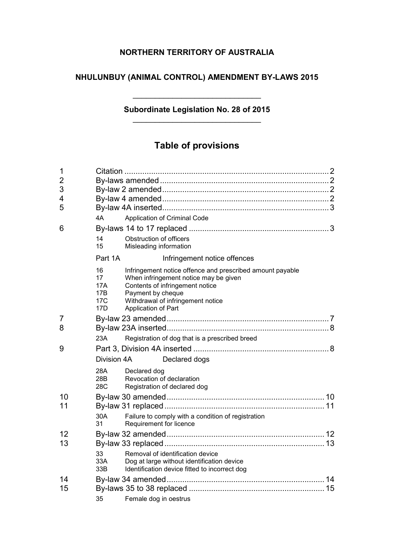## **NORTHERN TERRITORY OF AUSTRALIA**

## **NHULUNBUY (ANIMAL CONTROL) AMENDMENT BY-LAWS 2015**

## **Subordinate Legislation No. 28 of 2015** \_\_\_\_\_\_\_\_\_\_\_\_\_\_\_\_\_\_\_\_\_\_\_\_\_\_\_\_\_

\_\_\_\_\_\_\_\_\_\_\_\_\_\_\_\_\_\_\_\_\_\_\_\_\_\_\_\_\_

# **Table of provisions**

| $\mathbf 1$    |                                      |                                                   |                                                                                                                                                                            |  |
|----------------|--------------------------------------|---------------------------------------------------|----------------------------------------------------------------------------------------------------------------------------------------------------------------------------|--|
| $\overline{2}$ |                                      |                                                   |                                                                                                                                                                            |  |
| 3              |                                      |                                                   |                                                                                                                                                                            |  |
| 4              |                                      |                                                   |                                                                                                                                                                            |  |
| 5              |                                      |                                                   |                                                                                                                                                                            |  |
|                | 4A                                   |                                                   | Application of Criminal Code                                                                                                                                               |  |
| 6              |                                      |                                                   |                                                                                                                                                                            |  |
|                | 14<br>15                             | Obstruction of officers<br>Misleading information |                                                                                                                                                                            |  |
|                | Part 1A                              |                                                   | Infringement notice offences                                                                                                                                               |  |
|                | 16<br>17<br>17A<br>17B<br>17C<br>17D | Payment by cheque<br>Application of Part          | Infringement notice offence and prescribed amount payable<br>When infringement notice may be given<br>Contents of infringement notice<br>Withdrawal of infringement notice |  |
| 7              |                                      |                                                   |                                                                                                                                                                            |  |
| 8              |                                      |                                                   |                                                                                                                                                                            |  |
|                | 23A                                  |                                                   | Registration of dog that is a prescribed breed                                                                                                                             |  |
| 9              |                                      |                                                   |                                                                                                                                                                            |  |
|                | Division 4A                          |                                                   | Declared dogs                                                                                                                                                              |  |
|                | 28A<br>28B<br>28C                    | Declared dog                                      | Revocation of declaration<br>Registration of declared dog                                                                                                                  |  |
| 10             |                                      |                                                   |                                                                                                                                                                            |  |
| 11             |                                      |                                                   |                                                                                                                                                                            |  |
|                | 30A<br>31                            | Requirement for licence                           | Failure to comply with a condition of registration                                                                                                                         |  |
| 12             |                                      |                                                   |                                                                                                                                                                            |  |
| 13             |                                      |                                                   |                                                                                                                                                                            |  |
|                | 33<br>33A<br>33B                     |                                                   | Removal of identification device<br>Dog at large without identification device<br>Identification device fitted to incorrect dog                                            |  |
| 14             |                                      |                                                   |                                                                                                                                                                            |  |
| 15             |                                      |                                                   |                                                                                                                                                                            |  |
|                | 35                                   | Female dog in oestrus                             |                                                                                                                                                                            |  |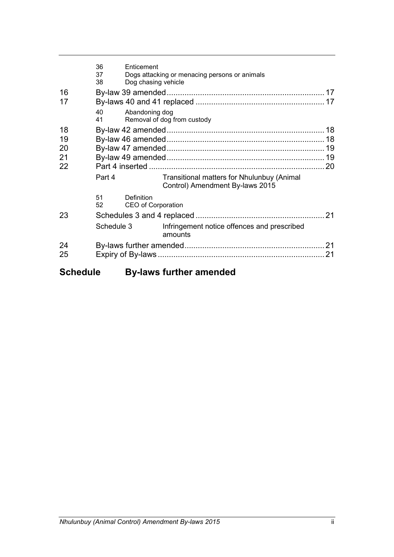|    | 36<br>Enticement<br>37<br>38        | Dogs attacking or menacing persons or animals<br>Dog chasing vehicle          |    |  |  |  |
|----|-------------------------------------|-------------------------------------------------------------------------------|----|--|--|--|
| 16 |                                     |                                                                               |    |  |  |  |
| 17 |                                     |                                                                               |    |  |  |  |
|    | 40<br>41                            | Abandoning dog<br>Removal of dog from custody                                 |    |  |  |  |
| 18 |                                     |                                                                               |    |  |  |  |
| 19 |                                     |                                                                               |    |  |  |  |
| 20 |                                     |                                                                               |    |  |  |  |
| 21 |                                     |                                                                               |    |  |  |  |
| 22 |                                     |                                                                               |    |  |  |  |
|    | Part 4                              | Transitional matters for Nhulunbuy (Animal<br>Control) Amendment By-laws 2015 |    |  |  |  |
|    | 51<br>Definition<br>52 <sub>2</sub> | CEO of Corporation                                                            |    |  |  |  |
| 23 |                                     | 21                                                                            |    |  |  |  |
|    | Schedule 3                          | Infringement notice offences and prescribed<br>amounts                        |    |  |  |  |
| 24 |                                     |                                                                               | 21 |  |  |  |
| 25 |                                     |                                                                               | 21 |  |  |  |
|    |                                     |                                                                               |    |  |  |  |

# **Schedule By-laws further amended**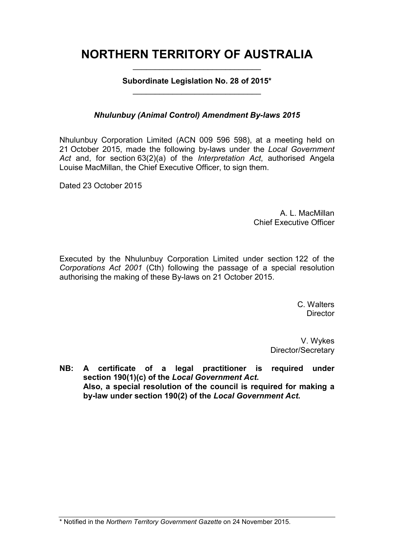# **NORTHERN TERRITORY OF AUSTRALIA** \_\_\_\_\_\_\_\_\_\_\_\_\_\_\_\_\_\_\_\_\_\_\_\_\_\_\_\_\_

**Subordinate Legislation No. 28 of 2015\*** \_\_\_\_\_\_\_\_\_\_\_\_\_\_\_\_\_\_\_\_\_\_\_\_\_\_\_\_\_

## *Nhulunbuy (Animal Control) Amendment By-laws 2015*

Nhulunbuy Corporation Limited (ACN 009 596 598), at a meeting held on 21 October 2015, made the following by-laws under the *Local Government Act* and, for section 63(2)(a) of the *Interpretation Act*, authorised Angela Louise MacMillan, the Chief Executive Officer, to sign them.

Dated 23 October 2015

A. L. MacMillan Chief Executive Officer

Executed by the Nhulunbuy Corporation Limited under section 122 of the *Corporations Act 2001* (Cth) following the passage of a special resolution authorising the making of these By-laws on 21 October 2015.

> C. Walters **Director**

V. Wykes Director/Secretary

**NB: A certificate of a legal practitioner is required under section 190(1)(c) of the** *Local Government Act***. Also, a special resolution of the council is required for making a by-law under section 190(2) of the** *Local Government Act***.**

<sup>\*</sup> Notified in the *Northern Territory Government Gazette* on 24 November 2015.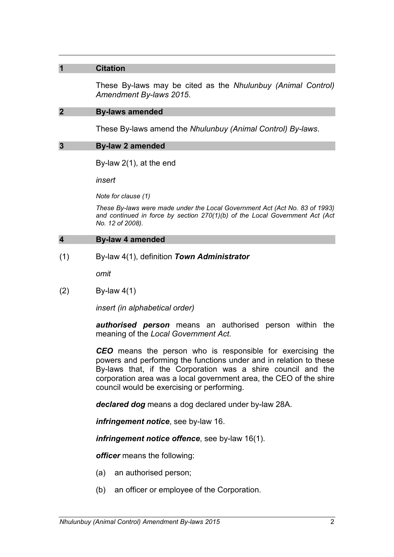#### **1 Citation**

These By-laws may be cited as the *Nhulunbuy (Animal Control) Amendment By-laws 2015*.

#### **2 By-laws amended**

These By-laws amend the *Nhulunbuy (Animal Control) By-laws*.

#### **3 By-law 2 amended**

By-law 2(1), at the end

*insert*

*Note for clause (1)*

*These By-laws were made under the Local Government Act (Act No. 83 of 1993) and continued in force by section 270(1)(b) of the Local Government Act (Act No. 12 of 2008).*

#### **4 By-law 4 amended**

(1) By-law 4(1), definition *Town Administrator*

*omit*

(2) By-law 4(1)

*insert (in alphabetical order)*

*authorised person* means an authorised person within the meaning of the *Local Government Act*.

*CEO* means the person who is responsible for exercising the powers and performing the functions under and in relation to these By-laws that, if the Corporation was a shire council and the corporation area was a local government area, the CEO of the shire council would be exercising or performing.

*declared dog* means a dog declared under by-law 28A.

*infringement notice*, see by-law 16.

*infringement notice offence*, see by-law 16(1).

*officer* means the following:

- (a) an authorised person;
- (b) an officer or employee of the Corporation.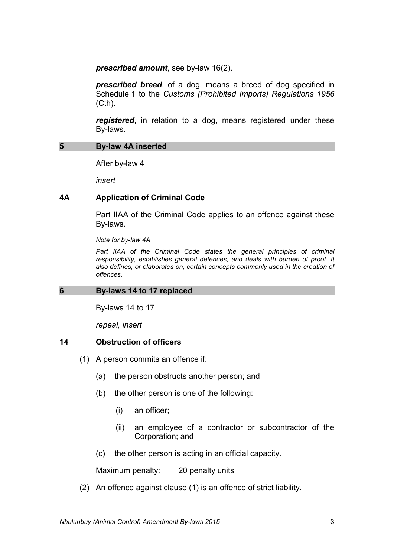*prescribed amount*, see by-law 16(2).

*prescribed breed*, of a dog, means a breed of dog specified in Schedule 1 to the *Customs (Prohibited Imports) Regulations 1956* (Cth).

*registered*, in relation to a dog, means registered under these By-laws.

#### **5 By-law 4A inserted**

After by-law 4

*insert*

#### **4A Application of Criminal Code**

Part IIAA of the Criminal Code applies to an offence against these By-laws.

*Note for by-law 4A*

Part IIAA of the Criminal Code states the general principles of criminal *responsibility, establishes general defences, and deals with burden of proof. It also defines, or elaborates on, certain concepts commonly used in the creation of offences.*

#### **6 By-laws 14 to 17 replaced**

By-laws 14 to 17

*repeal, insert*

#### **14 Obstruction of officers**

- (1) A person commits an offence if:
	- (a) the person obstructs another person; and
	- (b) the other person is one of the following:
		- (i) an officer;
		- (ii) an employee of a contractor or subcontractor of the Corporation; and
	- (c) the other person is acting in an official capacity.

Maximum penalty: 20 penalty units

(2) An offence against clause (1) is an offence of strict liability.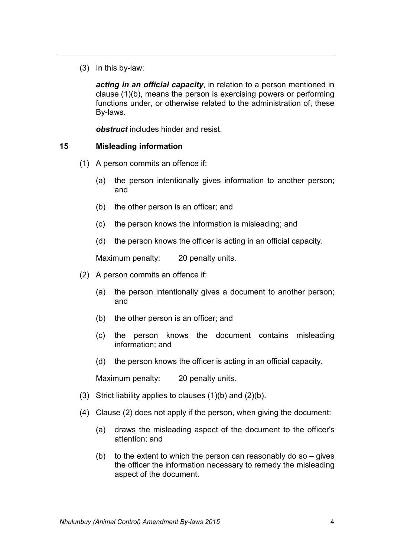(3) In this by-law:

*acting in an official capacity*, in relation to a person mentioned in clause (1)(b), means the person is exercising powers or performing functions under, or otherwise related to the administration of, these By-laws.

*obstruct* includes hinder and resist.

#### **15 Misleading information**

- (1) A person commits an offence if:
	- (a) the person intentionally gives information to another person; and
	- (b) the other person is an officer; and
	- (c) the person knows the information is misleading; and
	- (d) the person knows the officer is acting in an official capacity.

Maximum penalty: 20 penalty units.

- (2) A person commits an offence if:
	- (a) the person intentionally gives a document to another person; and
	- (b) the other person is an officer; and
	- (c) the person knows the document contains misleading information; and
	- (d) the person knows the officer is acting in an official capacity.

- (3) Strict liability applies to clauses  $(1)(b)$  and  $(2)(b)$ .
- (4) Clause (2) does not apply if the person, when giving the document:
	- (a) draws the misleading aspect of the document to the officer's attention; and
	- (b) to the extent to which the person can reasonably do so  $-$  gives the officer the information necessary to remedy the misleading aspect of the document.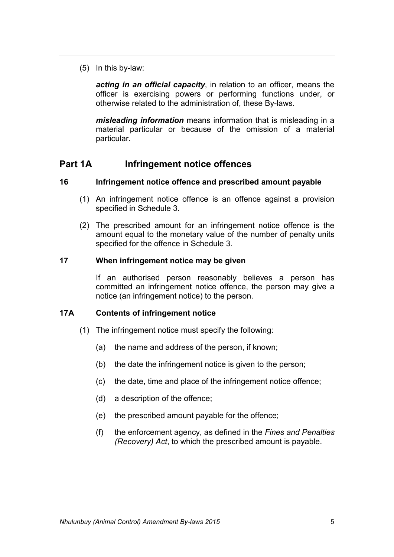(5) In this by-law:

*acting in an official capacity*, in relation to an officer, means the officer is exercising powers or performing functions under, or otherwise related to the administration of, these By-laws.

*misleading information* means information that is misleading in a material particular or because of the omission of a material particular.

## **Part 1A Infringement notice offences**

## **16 Infringement notice offence and prescribed amount payable**

- (1) An infringement notice offence is an offence against a provision specified in Schedule 3.
- (2) The prescribed amount for an infringement notice offence is the amount equal to the monetary value of the number of penalty units specified for the offence in Schedule 3.

#### **17 When infringement notice may be given**

If an authorised person reasonably believes a person has committed an infringement notice offence, the person may give a notice (an infringement notice) to the person.

## **17A Contents of infringement notice**

- (1) The infringement notice must specify the following:
	- (a) the name and address of the person, if known;
	- (b) the date the infringement notice is given to the person;
	- (c) the date, time and place of the infringement notice offence;
	- (d) a description of the offence;
	- (e) the prescribed amount payable for the offence;
	- (f) the enforcement agency, as defined in the *Fines and Penalties (Recovery) Act*, to which the prescribed amount is payable.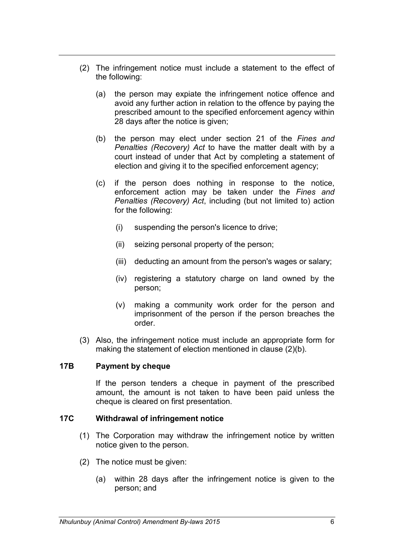- (2) The infringement notice must include a statement to the effect of the following:
	- (a) the person may expiate the infringement notice offence and avoid any further action in relation to the offence by paying the prescribed amount to the specified enforcement agency within 28 days after the notice is given;
	- (b) the person may elect under section 21 of the *Fines and Penalties (Recovery) Act* to have the matter dealt with by a court instead of under that Act by completing a statement of election and giving it to the specified enforcement agency;
	- (c) if the person does nothing in response to the notice, enforcement action may be taken under the *Fines and Penalties (Recovery) Act*, including (but not limited to) action for the following:
		- (i) suspending the person's licence to drive;
		- (ii) seizing personal property of the person;
		- (iii) deducting an amount from the person's wages or salary;
		- (iv) registering a statutory charge on land owned by the person;
		- (v) making a community work order for the person and imprisonment of the person if the person breaches the order.
- (3) Also, the infringement notice must include an appropriate form for making the statement of election mentioned in clause (2)(b).

#### **17B Payment by cheque**

If the person tenders a cheque in payment of the prescribed amount, the amount is not taken to have been paid unless the cheque is cleared on first presentation.

#### **17C Withdrawal of infringement notice**

- (1) The Corporation may withdraw the infringement notice by written notice given to the person.
- (2) The notice must be given:
	- (a) within 28 days after the infringement notice is given to the person; and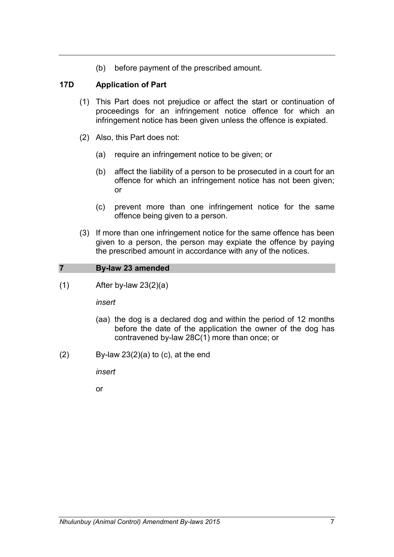(b) before payment of the prescribed amount.

## **17D Application of Part**

- (1) This Part does not prejudice or affect the start or continuation of proceedings for an infringement notice offence for which an infringement notice has been given unless the offence is expiated.
- (2) Also, this Part does not:
	- (a) require an infringement notice to be given; or
	- (b) affect the liability of a person to be prosecuted in a court for an offence for which an infringement notice has not been given; or
	- (c) prevent more than one infringement notice for the same offence being given to a person.
- (3) If more than one infringement notice for the same offence has been given to a person, the person may expiate the offence by paying the prescribed amount in accordance with any of the notices.

#### **7 By-law 23 amended**

 $(1)$  After by-law 23 $(2)(a)$ 

*insert*

- (aa) the dog is a declared dog and within the period of 12 months before the date of the application the owner of the dog has contravened by-law 28C(1) more than once; or
- $(2)$  By-law 23 $(2)(a)$  to  $(c)$ , at the end

*insert*

or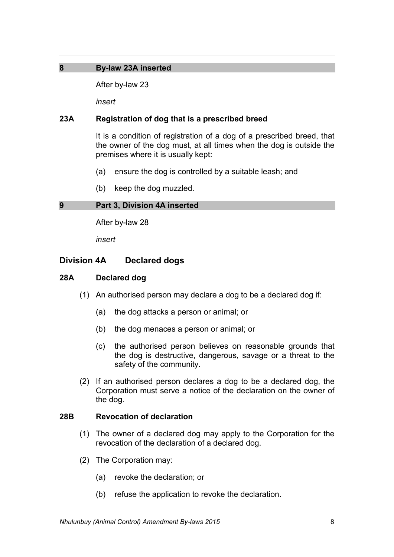## **8 By-law 23A inserted**

After by-law 23

*insert*

## **23A Registration of dog that is a prescribed breed**

It is a condition of registration of a dog of a prescribed breed, that the owner of the dog must, at all times when the dog is outside the premises where it is usually kept:

- (a) ensure the dog is controlled by a suitable leash; and
- (b) keep the dog muzzled.

#### **9 Part 3, Division 4A inserted**

After by-law 28

*insert*

## **Division 4A Declared dogs**

## **28A Declared dog**

- (1) An authorised person may declare a dog to be a declared dog if:
	- (a) the dog attacks a person or animal; or
	- (b) the dog menaces a person or animal; or
	- (c) the authorised person believes on reasonable grounds that the dog is destructive, dangerous, savage or a threat to the safety of the community.
- (2) If an authorised person declares a dog to be a declared dog, the Corporation must serve a notice of the declaration on the owner of the dog.

#### **28B Revocation of declaration**

- (1) The owner of a declared dog may apply to the Corporation for the revocation of the declaration of a declared dog.
- (2) The Corporation may:
	- (a) revoke the declaration; or
	- (b) refuse the application to revoke the declaration.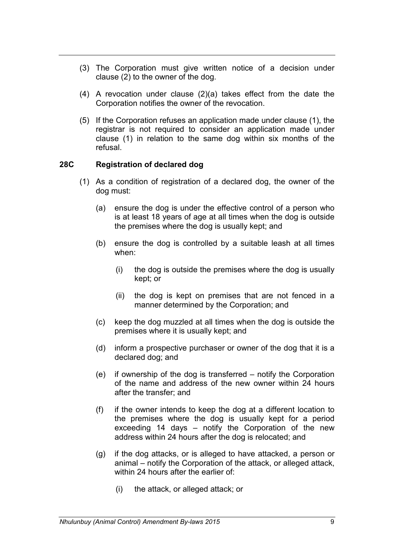- (3) The Corporation must give written notice of a decision under clause (2) to the owner of the dog.
- (4) A revocation under clause (2)(a) takes effect from the date the Corporation notifies the owner of the revocation.
- (5) If the Corporation refuses an application made under clause (1), the registrar is not required to consider an application made under clause (1) in relation to the same dog within six months of the refusal.

#### **28C Registration of declared dog**

- (1) As a condition of registration of a declared dog, the owner of the dog must:
	- (a) ensure the dog is under the effective control of a person who is at least 18 years of age at all times when the dog is outside the premises where the dog is usually kept; and
	- (b) ensure the dog is controlled by a suitable leash at all times when:
		- (i) the dog is outside the premises where the dog is usually kept; or
		- (ii) the dog is kept on premises that are not fenced in a manner determined by the Corporation; and
	- (c) keep the dog muzzled at all times when the dog is outside the premises where it is usually kept; and
	- (d) inform a prospective purchaser or owner of the dog that it is a declared dog; and
	- (e) if ownership of the dog is transferred notify the Corporation of the name and address of the new owner within 24 hours after the transfer; and
	- (f) if the owner intends to keep the dog at a different location to the premises where the dog is usually kept for a period exceeding 14 days – notify the Corporation of the new address within 24 hours after the dog is relocated; and
	- (g) if the dog attacks, or is alleged to have attacked, a person or animal – notify the Corporation of the attack, or alleged attack, within 24 hours after the earlier of:
		- (i) the attack, or alleged attack; or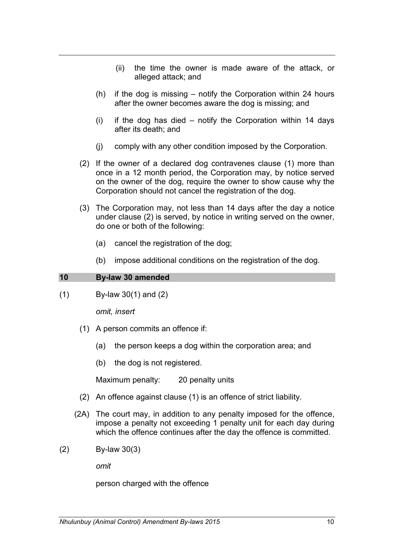- (ii) the time the owner is made aware of the attack, or alleged attack; and
- (h) if the dog is missing notify the Corporation within 24 hours after the owner becomes aware the dog is missing; and
- (i) if the dog has died notify the Corporation within 14 days after its death; and
- (j) comply with any other condition imposed by the Corporation.
- (2) If the owner of a declared dog contravenes clause (1) more than once in a 12 month period, the Corporation may, by notice served on the owner of the dog, require the owner to show cause why the Corporation should not cancel the registration of the dog.
- (3) The Corporation may, not less than 14 days after the day a notice under clause (2) is served, by notice in writing served on the owner, do one or both of the following:
	- (a) cancel the registration of the dog;
	- (b) impose additional conditions on the registration of the dog.

## **10 By-law 30 amended**

(1) By-law 30(1) and (2)

*omit, insert*

- (1) A person commits an offence if:
	- (a) the person keeps a dog within the corporation area; and
	- (b) the dog is not registered.

Maximum penalty: 20 penalty units

- (2) An offence against clause (1) is an offence of strict liability.
- (2A) The court may, in addition to any penalty imposed for the offence, impose a penalty not exceeding 1 penalty unit for each day during which the offence continues after the day the offence is committed.
- (2) By-law 30(3)

*omit*

person charged with the offence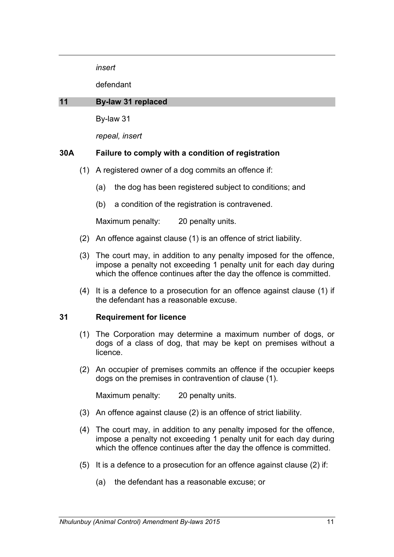*insert*

defendant

#### **11 By-law 31 replaced**

By-law 31

*repeal, insert*

## **30A Failure to comply with a condition of registration**

- (1) A registered owner of a dog commits an offence if:
	- (a) the dog has been registered subject to conditions; and
	- (b) a condition of the registration is contravened.

Maximum penalty: 20 penalty units.

- (2) An offence against clause (1) is an offence of strict liability.
- (3) The court may, in addition to any penalty imposed for the offence, impose a penalty not exceeding 1 penalty unit for each day during which the offence continues after the day the offence is committed.
- (4) It is a defence to a prosecution for an offence against clause (1) if the defendant has a reasonable excuse.

#### **31 Requirement for licence**

- (1) The Corporation may determine a maximum number of dogs, or dogs of a class of dog, that may be kept on premises without a licence.
- (2) An occupier of premises commits an offence if the occupier keeps dogs on the premises in contravention of clause (1).

- (3) An offence against clause (2) is an offence of strict liability.
- (4) The court may, in addition to any penalty imposed for the offence, impose a penalty not exceeding 1 penalty unit for each day during which the offence continues after the day the offence is committed.
- (5) It is a defence to a prosecution for an offence against clause (2) if:
	- (a) the defendant has a reasonable excuse; or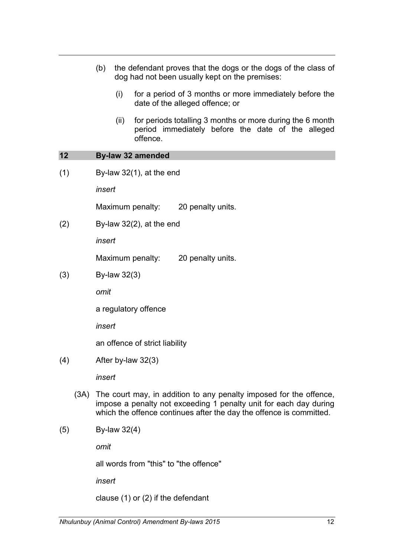|     |      | the defendant proves that the dogs or the dogs of the class of<br>(b)<br>dog had not been usually kept on the premises: |                                                                                                                                                                                                                |                                                                                                                            |  |
|-----|------|-------------------------------------------------------------------------------------------------------------------------|----------------------------------------------------------------------------------------------------------------------------------------------------------------------------------------------------------------|----------------------------------------------------------------------------------------------------------------------------|--|
|     |      |                                                                                                                         | (i)                                                                                                                                                                                                            | for a period of 3 months or more immediately before the<br>date of the alleged offence; or                                 |  |
|     |      |                                                                                                                         | (ii)                                                                                                                                                                                                           | for periods totalling 3 months or more during the 6 month<br>period immediately before the date of the alleged<br>offence. |  |
| 12  |      |                                                                                                                         |                                                                                                                                                                                                                | <b>By-law 32 amended</b>                                                                                                   |  |
| (1) |      | By-law $32(1)$ , at the end                                                                                             |                                                                                                                                                                                                                |                                                                                                                            |  |
|     |      | insert                                                                                                                  |                                                                                                                                                                                                                |                                                                                                                            |  |
|     |      |                                                                                                                         |                                                                                                                                                                                                                | Maximum penalty: 20 penalty units.                                                                                         |  |
| (2) |      | By-law $32(2)$ , at the end                                                                                             |                                                                                                                                                                                                                |                                                                                                                            |  |
|     |      | insert                                                                                                                  |                                                                                                                                                                                                                |                                                                                                                            |  |
|     |      | 20 penalty units.<br>Maximum penalty:                                                                                   |                                                                                                                                                                                                                |                                                                                                                            |  |
| (3) |      | By-law 32(3)                                                                                                            |                                                                                                                                                                                                                |                                                                                                                            |  |
|     |      | omit                                                                                                                    |                                                                                                                                                                                                                |                                                                                                                            |  |
|     |      | a regulatory offence                                                                                                    |                                                                                                                                                                                                                |                                                                                                                            |  |
|     |      | insert                                                                                                                  |                                                                                                                                                                                                                |                                                                                                                            |  |
|     |      |                                                                                                                         | an offence of strict liability                                                                                                                                                                                 |                                                                                                                            |  |
| (4) |      | After by-law 32(3)                                                                                                      |                                                                                                                                                                                                                |                                                                                                                            |  |
|     |      | insert                                                                                                                  |                                                                                                                                                                                                                |                                                                                                                            |  |
|     | (3A) |                                                                                                                         | The court may, in addition to any penalty imposed for the offence,<br>impose a penalty not exceeding 1 penalty unit for each day during<br>which the offence continues after the day the offence is committed. |                                                                                                                            |  |
| (5) |      | By-law 32(4)                                                                                                            |                                                                                                                                                                                                                |                                                                                                                            |  |
|     |      | omit                                                                                                                    |                                                                                                                                                                                                                |                                                                                                                            |  |
|     |      | all words from "this" to "the offence"                                                                                  |                                                                                                                                                                                                                |                                                                                                                            |  |
|     |      | insert                                                                                                                  |                                                                                                                                                                                                                |                                                                                                                            |  |
|     |      |                                                                                                                         |                                                                                                                                                                                                                | clause $(1)$ or $(2)$ if the defendant                                                                                     |  |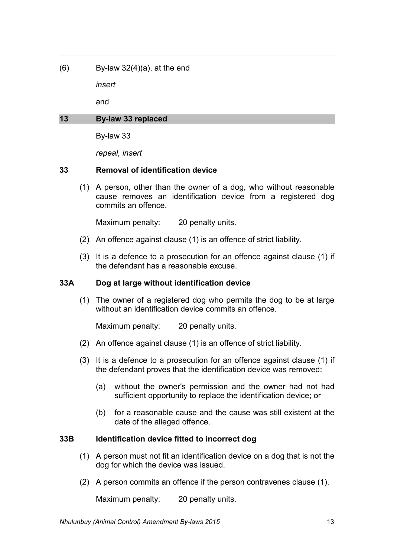$(6)$  By-law 32 $(4)(a)$ , at the end

*insert*

and

## **13 By-law 33 replaced**

By-law 33

*repeal, insert*

## **33 Removal of identification device**

(1) A person, other than the owner of a dog, who without reasonable cause removes an identification device from a registered dog commits an offence.

Maximum penalty: 20 penalty units.

- (2) An offence against clause (1) is an offence of strict liability.
- (3) It is a defence to a prosecution for an offence against clause (1) if the defendant has a reasonable excuse.

## **33A Dog at large without identification device**

(1) The owner of a registered dog who permits the dog to be at large without an identification device commits an offence.

Maximum penalty: 20 penalty units.

- (2) An offence against clause (1) is an offence of strict liability.
- (3) It is a defence to a prosecution for an offence against clause (1) if the defendant proves that the identification device was removed:
	- (a) without the owner's permission and the owner had not had sufficient opportunity to replace the identification device; or
	- (b) for a reasonable cause and the cause was still existent at the date of the alleged offence.

## **33B Identification device fitted to incorrect dog**

- (1) A person must not fit an identification device on a dog that is not the dog for which the device was issued.
- (2) A person commits an offence if the person contravenes clause (1).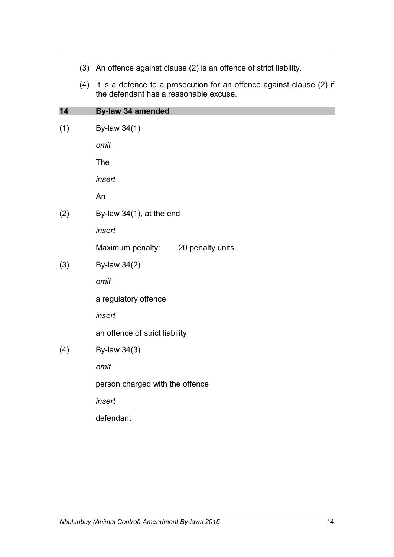|     | (3) An offence against clause (2) is an offence of strict liability.                                                |  |  |  |
|-----|---------------------------------------------------------------------------------------------------------------------|--|--|--|
|     | (4) It is a defence to a prosecution for an offence against clause (2) if<br>the defendant has a reasonable excuse. |  |  |  |
| 14  | By-law 34 amended                                                                                                   |  |  |  |
| (1) | By-law 34(1)                                                                                                        |  |  |  |
|     | omit                                                                                                                |  |  |  |
|     | The                                                                                                                 |  |  |  |
|     | insert                                                                                                              |  |  |  |
|     | An                                                                                                                  |  |  |  |
| (2) | By-law $34(1)$ , at the end                                                                                         |  |  |  |
|     | insert                                                                                                              |  |  |  |
|     | Maximum penalty:<br>20 penalty units.                                                                               |  |  |  |
| (3) | By-law 34(2)                                                                                                        |  |  |  |
|     | omit                                                                                                                |  |  |  |
|     | a regulatory offence                                                                                                |  |  |  |
|     | insert                                                                                                              |  |  |  |
|     | an offence of strict liability                                                                                      |  |  |  |
| (4) | By-law 34(3)                                                                                                        |  |  |  |
|     | omit                                                                                                                |  |  |  |
|     | person charged with the offence                                                                                     |  |  |  |
|     | insert                                                                                                              |  |  |  |
|     | defendant                                                                                                           |  |  |  |
|     |                                                                                                                     |  |  |  |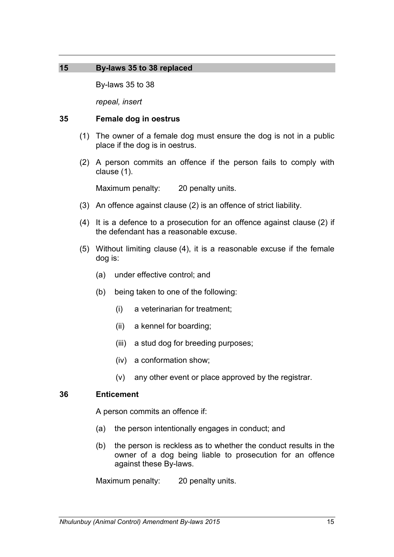### **15 By-laws 35 to 38 replaced**

By-laws 35 to 38

*repeal, insert*

#### **35 Female dog in oestrus**

- (1) The owner of a female dog must ensure the dog is not in a public place if the dog is in oestrus.
- (2) A person commits an offence if the person fails to comply with clause (1).

Maximum penalty: 20 penalty units.

- (3) An offence against clause (2) is an offence of strict liability.
- (4) It is a defence to a prosecution for an offence against clause (2) if the defendant has a reasonable excuse.
- (5) Without limiting clause (4), it is a reasonable excuse if the female dog is:
	- (a) under effective control; and
	- (b) being taken to one of the following:
		- (i) a veterinarian for treatment;
		- (ii) a kennel for boarding;
		- (iii) a stud dog for breeding purposes;
		- (iv) a conformation show;
		- (v) any other event or place approved by the registrar.

### **36 Enticement**

A person commits an offence if:

- (a) the person intentionally engages in conduct; and
- (b) the person is reckless as to whether the conduct results in the owner of a dog being liable to prosecution for an offence against these By-laws.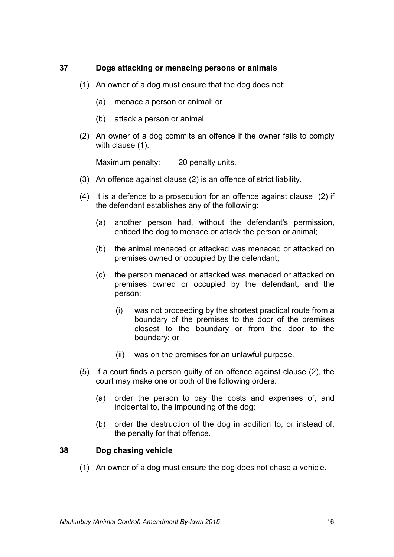## **37 Dogs attacking or menacing persons or animals**

- (1) An owner of a dog must ensure that the dog does not:
	- (a) menace a person or animal; or
	- (b) attack a person or animal.
- (2) An owner of a dog commits an offence if the owner fails to comply with clause (1).

Maximum penalty: 20 penalty units.

- (3) An offence against clause (2) is an offence of strict liability.
- (4) It is a defence to a prosecution for an offence against clause (2) if the defendant establishes any of the following:
	- (a) another person had, without the defendant's permission, enticed the dog to menace or attack the person or animal;
	- (b) the animal menaced or attacked was menaced or attacked on premises owned or occupied by the defendant;
	- (c) the person menaced or attacked was menaced or attacked on premises owned or occupied by the defendant, and the person:
		- (i) was not proceeding by the shortest practical route from a boundary of the premises to the door of the premises closest to the boundary or from the door to the boundary; or
		- (ii) was on the premises for an unlawful purpose.
- (5) If a court finds a person guilty of an offence against clause (2), the court may make one or both of the following orders:
	- (a) order the person to pay the costs and expenses of, and incidental to, the impounding of the dog;
	- (b) order the destruction of the dog in addition to, or instead of, the penalty for that offence.

#### **38 Dog chasing vehicle**

(1) An owner of a dog must ensure the dog does not chase a vehicle.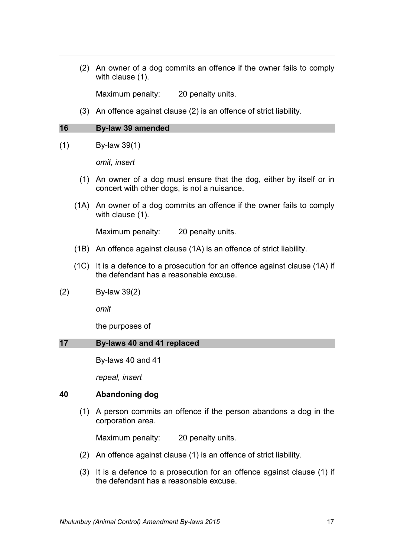(2) An owner of a dog commits an offence if the owner fails to comply with clause (1).

Maximum penalty: 20 penalty units.

(3) An offence against clause (2) is an offence of strict liability.

#### **16 By-law 39 amended**

(1) By-law 39(1)

*omit, insert*

- (1) An owner of a dog must ensure that the dog, either by itself or in concert with other dogs, is not a nuisance.
- (1A) An owner of a dog commits an offence if the owner fails to comply with clause (1).

Maximum penalty: 20 penalty units.

- (1B) An offence against clause (1A) is an offence of strict liability.
- (1C) It is a defence to a prosecution for an offence against clause (1A) if the defendant has a reasonable excuse.
- (2) By-law 39(2)

*omit*

the purposes of

#### **17 By-laws 40 and 41 replaced**

By-laws 40 and 41

*repeal, insert*

## **40 Abandoning dog**

(1) A person commits an offence if the person abandons a dog in the corporation area.

- (2) An offence against clause (1) is an offence of strict liability.
- (3) It is a defence to a prosecution for an offence against clause (1) if the defendant has a reasonable excuse.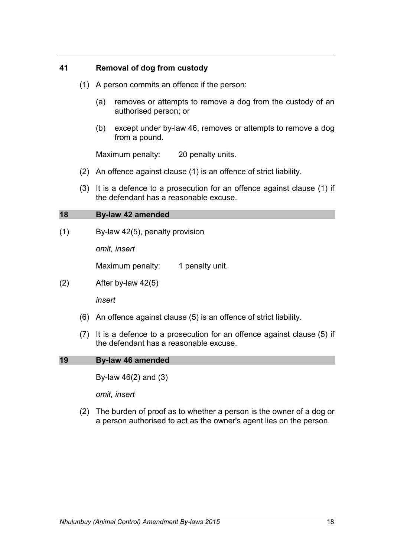## **41 Removal of dog from custody**

- (1) A person commits an offence if the person:
	- (a) removes or attempts to remove a dog from the custody of an authorised person; or
	- (b) except under by-law 46, removes or attempts to remove a dog from a pound.

Maximum penalty: 20 penalty units.

- (2) An offence against clause (1) is an offence of strict liability.
- (3) It is a defence to a prosecution for an offence against clause (1) if the defendant has a reasonable excuse.

#### **18 By-law 42 amended**

(1) By-law 42(5), penalty provision

*omit, insert*

Maximum penalty: 1 penalty unit.

(2) After by-law 42(5)

*insert*

- (6) An offence against clause (5) is an offence of strict liability.
- (7) It is a defence to a prosecution for an offence against clause (5) if the defendant has a reasonable excuse.

#### **19 By-law 46 amended**

By-law 46(2) and (3)

*omit, insert*

(2) The burden of proof as to whether a person is the owner of a dog or a person authorised to act as the owner's agent lies on the person.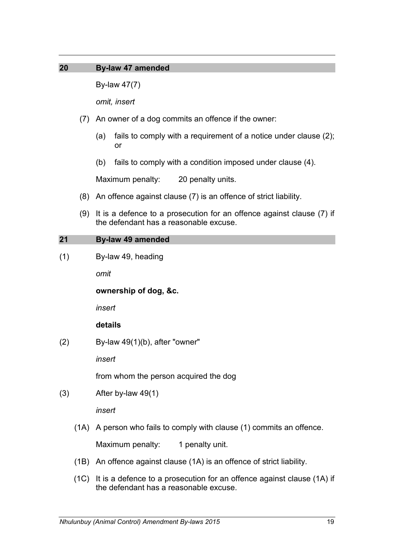## **20 By-law 47 amended**

By-law 47(7)

*omit, insert*

- (7) An owner of a dog commits an offence if the owner:
	- (a) fails to comply with a requirement of a notice under clause (2); or
	- (b) fails to comply with a condition imposed under clause (4).

Maximum penalty: 20 penalty units.

- (8) An offence against clause (7) is an offence of strict liability.
- (9) It is a defence to a prosecution for an offence against clause (7) if the defendant has a reasonable excuse.

#### **21 By-law 49 amended**

(1) By-law 49, heading

*omit*

**ownership of dog, &c.**

*insert*

## **details**

 $(2)$  By-law 49 $(1)$ (b), after "owner"

*insert*

from whom the person acquired the dog

(3) After by-law 49(1)

*insert*

(1A) A person who fails to comply with clause (1) commits an offence.

- (1B) An offence against clause (1A) is an offence of strict liability.
- (1C) It is a defence to a prosecution for an offence against clause (1A) if the defendant has a reasonable excuse.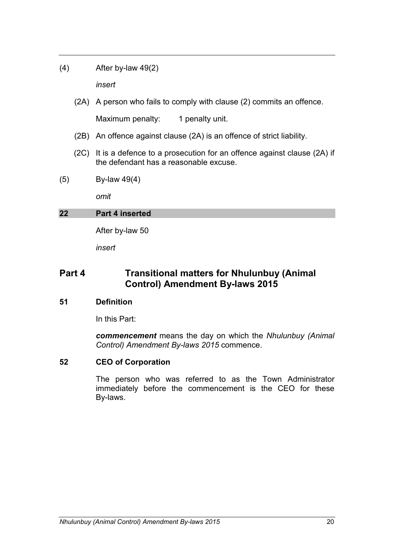(4) After by-law 49(2)

*insert*

(2A) A person who fails to comply with clause (2) commits an offence.

Maximum penalty: 1 penalty unit.

- (2B) An offence against clause (2A) is an offence of strict liability.
- (2C) It is a defence to a prosecution for an offence against clause (2A) if the defendant has a reasonable excuse.
- (5) By-law 49(4)

*omit*

## **22 Part 4 inserted**

After by-law 50

*insert*

## **Part 4 Transitional matters for Nhulunbuy (Animal Control) Amendment By-laws 2015**

#### **51 Definition**

In this Part:

*commencement* means the day on which the *Nhulunbuy (Animal Control) Amendment By-laws 2015* commence.

#### **52 CEO of Corporation**

The person who was referred to as the Town Administrator immediately before the commencement is the CEO for these By-laws.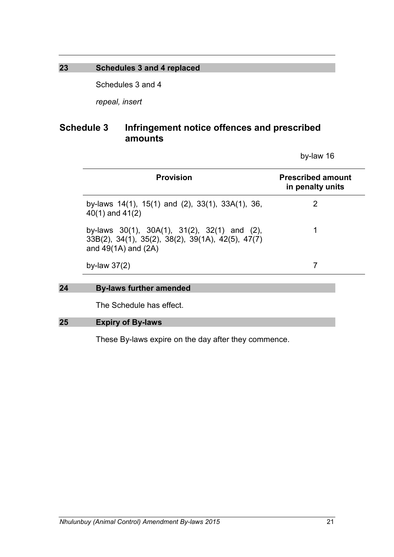## **23 Schedules 3 and 4 replaced**

Schedules 3 and 4

*repeal, insert*

# **Schedule 3 Infringement notice offences and prescribed amounts**

| <b>Provision</b>                                                                                                                        | <b>Prescribed amount</b><br>in penalty units |
|-----------------------------------------------------------------------------------------------------------------------------------------|----------------------------------------------|
| by-laws $14(1)$ , $15(1)$ and $(2)$ , $33(1)$ , $33A(1)$ , $36$ ,<br>$40(1)$ and $41(2)$                                                | 2                                            |
| by-laws $30(1)$ , $30A(1)$ , $31(2)$ , $32(1)$ and (2),<br>33B(2), 34(1), 35(2), 38(2), 39(1A), 42(5), 47(7)<br>and $49(1A)$ and $(2A)$ |                                              |
| by-law $37(2)$                                                                                                                          |                                              |

## **24 By-laws further amended**

The Schedule has effect.

#### **25 Expiry of By-laws**

These By-laws expire on the day after they commence.

by-law 16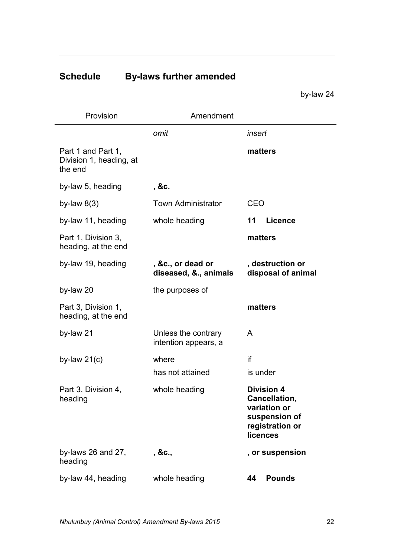# **Schedule By-laws further amended**

by-law 24

| Provision                                                | Amendment                                   |                                                                                                    |
|----------------------------------------------------------|---------------------------------------------|----------------------------------------------------------------------------------------------------|
|                                                          | omit                                        | insert                                                                                             |
| Part 1 and Part 1,<br>Division 1, heading, at<br>the end |                                             | matters                                                                                            |
| by-law 5, heading                                        | , &c.                                       |                                                                                                    |
| by-law $8(3)$                                            | <b>Town Administrator</b>                   | <b>CEO</b>                                                                                         |
| by-law 11, heading                                       | whole heading                               | 11<br><b>Licence</b>                                                                               |
| Part 1, Division 3,<br>heading, at the end               |                                             | matters                                                                                            |
| by-law 19, heading                                       | , &c., or dead or<br>diseased, &., animals  | , destruction or<br>disposal of animal                                                             |
| by-law 20                                                | the purposes of                             |                                                                                                    |
| Part 3, Division 1,<br>heading, at the end               |                                             | matters                                                                                            |
| by-law 21                                                | Unless the contrary<br>intention appears, a | A                                                                                                  |
| by-law $21(c)$                                           | where                                       | if                                                                                                 |
|                                                          | has not attained                            | is under                                                                                           |
| Part 3, Division 4,<br>heading                           | whole heading                               | <b>Division 4</b><br>Cancellation,<br>variation or<br>suspension of<br>registration or<br>licences |
| by-laws 26 and 27,<br>heading                            | , &c.,                                      | , or suspension                                                                                    |
| by-law 44, heading                                       | whole heading                               | <b>Pounds</b><br>44                                                                                |